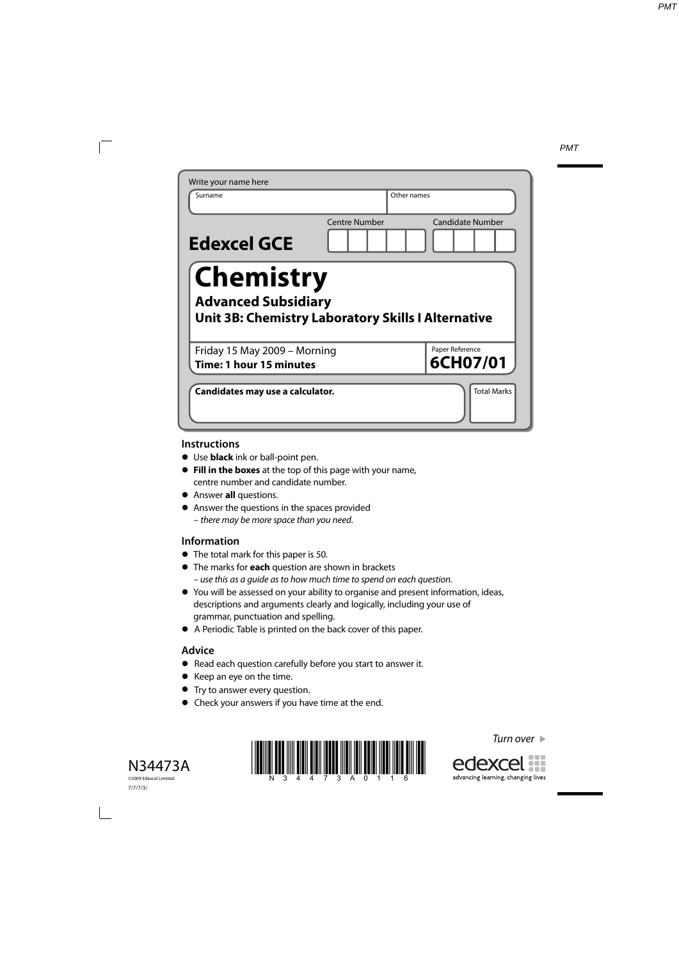*PMT*

| Write your name here                                                                                        |                      |                         |  |
|-------------------------------------------------------------------------------------------------------------|----------------------|-------------------------|--|
| Surname                                                                                                     |                      | Other names             |  |
| <b>Edexcel GCE</b>                                                                                          | <b>Centre Number</b> | <b>Candidate Number</b> |  |
| <b>Chemistry</b><br><b>Advanced Subsidiary</b><br><b>Unit 3B: Chemistry Laboratory Skills I Alternative</b> |                      |                         |  |
|                                                                                                             |                      |                         |  |
| Friday 15 May 2009 - Morning                                                                                |                      | Paper Reference         |  |
| <b>Time: 1 hour 15 minutes</b>                                                                              |                      | 6CH07/01                |  |

## **Instructions**

- **•** Use **black** ink or ball-point pen.
- **• Fill in the boxes** at the top of this page with your name, centre number and candidate number.
- **•** Answer **all** questions.
- **•** Answer the questions in the spaces provided – there may be more space than you need.

## **Information**

- **•** The total mark for this paper is 50.
- **•** The marks for **each** question are shown in brackets – use this as a guide as to how much time to spend on each question.
- **•** You will be assessed on your ability to organise and present information, ideas, descriptions and arguments clearly and logically, including your use of grammar, punctuation and spelling.
- **•** A Periodic Table is printed on the back cover of this paper.

# **Advice**

- **•** Read each question carefully before you start to answer it.
- **•** Keep an eye on the time.
- **•** Try to answer every question.
- **•** Check your answers if you have time at the end.



Turn over  $\blacktriangleright$ 

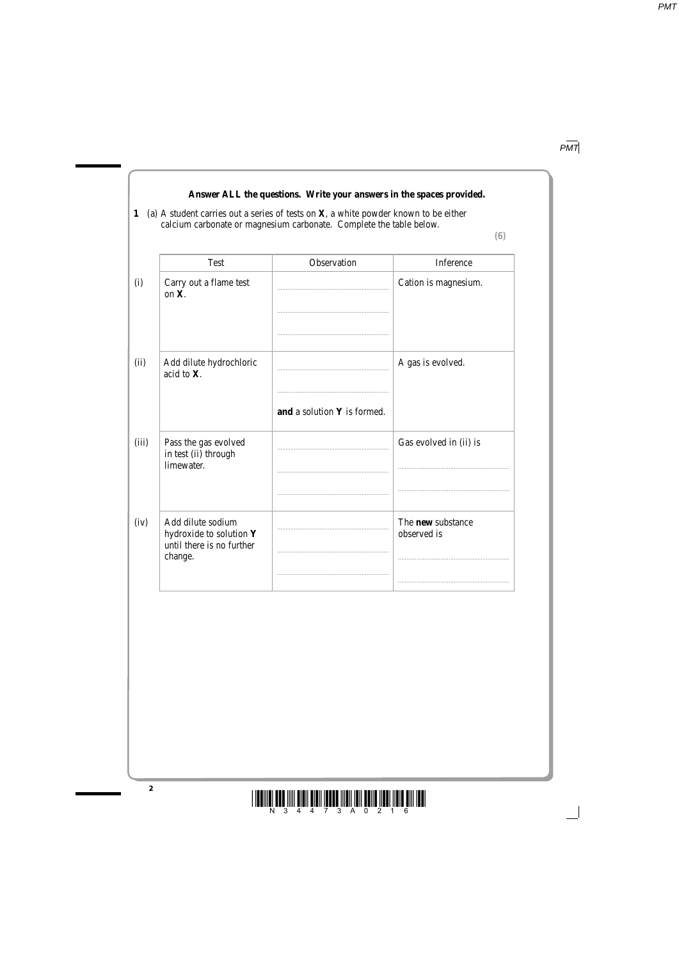| Answer ALL the questions. Write your answers in the spaces provided.<br>(a) A student carries out a series of tests on $X$ , a white powder known to be either<br>1<br>calcium carbonate or magnesium carbonate. Complete the table below. |                                                                                        |                             |                                         |
|--------------------------------------------------------------------------------------------------------------------------------------------------------------------------------------------------------------------------------------------|----------------------------------------------------------------------------------------|-----------------------------|-----------------------------------------|
|                                                                                                                                                                                                                                            |                                                                                        |                             | (6)                                     |
|                                                                                                                                                                                                                                            | <b>Test</b>                                                                            | Observation                 | Inference                               |
| (i)                                                                                                                                                                                                                                        | Carry out a flame test<br>on $X$ .                                                     |                             | Cation is magnesium.                    |
|                                                                                                                                                                                                                                            |                                                                                        |                             |                                         |
| (ii)                                                                                                                                                                                                                                       | Add dilute hydrochloric<br>acid to $X$ .                                               |                             | A gas is evolved.                       |
|                                                                                                                                                                                                                                            |                                                                                        | and a solution Y is formed. |                                         |
| (iii)                                                                                                                                                                                                                                      | Pass the gas evolved<br>in test (ii) through<br>limewater.                             |                             | Gas evolved in (ii) is                  |
|                                                                                                                                                                                                                                            |                                                                                        |                             |                                         |
| (iv)                                                                                                                                                                                                                                       | Add dilute sodium<br>hydroxide to solution $Y$<br>until there is no further<br>change. |                             | The <b>new</b> substance<br>observed is |
|                                                                                                                                                                                                                                            |                                                                                        |                             |                                         |

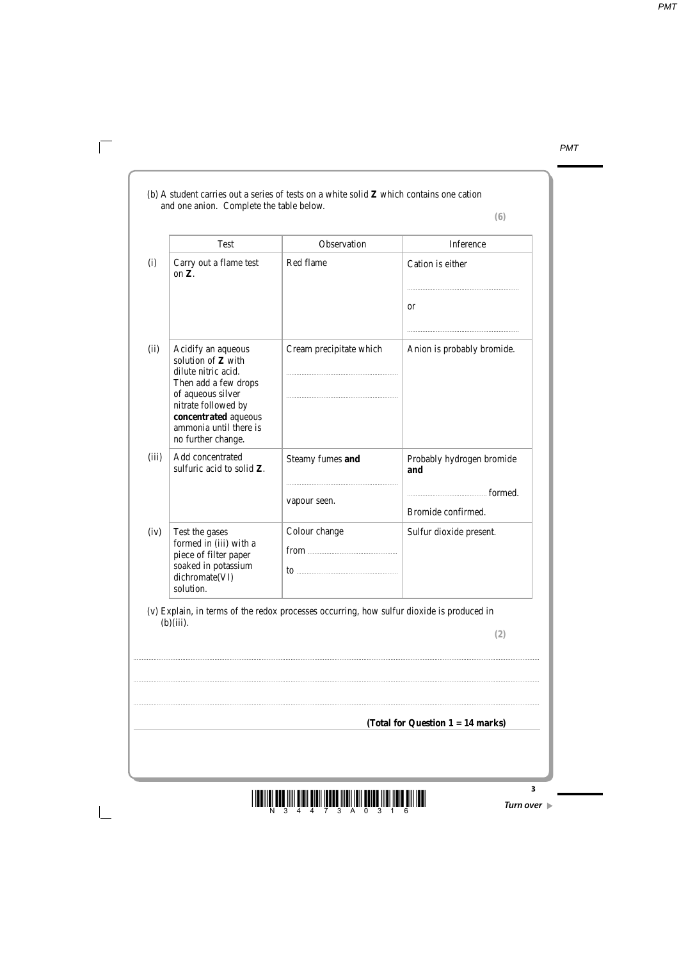(b) A student carries out a series of tests on a white solid **Z** which contains one cation and one anion. Complete the table below.

**(6)**

|       | <b>Test</b>                                                                                                                                                                                                 | Observation                                                                               | Inference                                   |
|-------|-------------------------------------------------------------------------------------------------------------------------------------------------------------------------------------------------------------|-------------------------------------------------------------------------------------------|---------------------------------------------|
| (i)   | Carry out a flame test<br>on $Z$ .                                                                                                                                                                          | Red flame                                                                                 | Cation is either                            |
|       |                                                                                                                                                                                                             |                                                                                           | <b>or</b>                                   |
| (ii)  | Acidify an aqueous<br>solution of Z with<br>dilute nitric acid.<br>Then add a few drops<br>of aqueous silver<br>nitrate followed by<br>concentrated aqueous<br>ammonia until there is<br>no further change. | Cream precipitate which                                                                   | Anion is probably bromide.                  |
| (iii) | Add concentrated<br>sulfuric acid to solid $Z$ .                                                                                                                                                            | Steamy fumes and<br>vapour seen.                                                          | Probably hydrogen bromide<br>and<br>formed. |
|       |                                                                                                                                                                                                             |                                                                                           | Bromide confirmed.                          |
| (iv)  | Test the gases<br>formed in (iii) with a<br>piece of filter paper<br>soaked in potassium<br>dichromate(VI)<br>solution.                                                                                     | Colour change                                                                             | Sulfur dioxide present.                     |
|       |                                                                                                                                                                                                             | (v) Explain, in terms of the redox processes occurring, how sulfur dioxide is produced in |                                             |
|       | $(b)(iii)$ .                                                                                                                                                                                                |                                                                                           | (2)                                         |
|       |                                                                                                                                                                                                             |                                                                                           |                                             |
|       |                                                                                                                                                                                                             |                                                                                           |                                             |
|       |                                                                                                                                                                                                             |                                                                                           |                                             |
|       |                                                                                                                                                                                                             |                                                                                           | (Total for Question $1 = 14$ marks)         |



**3**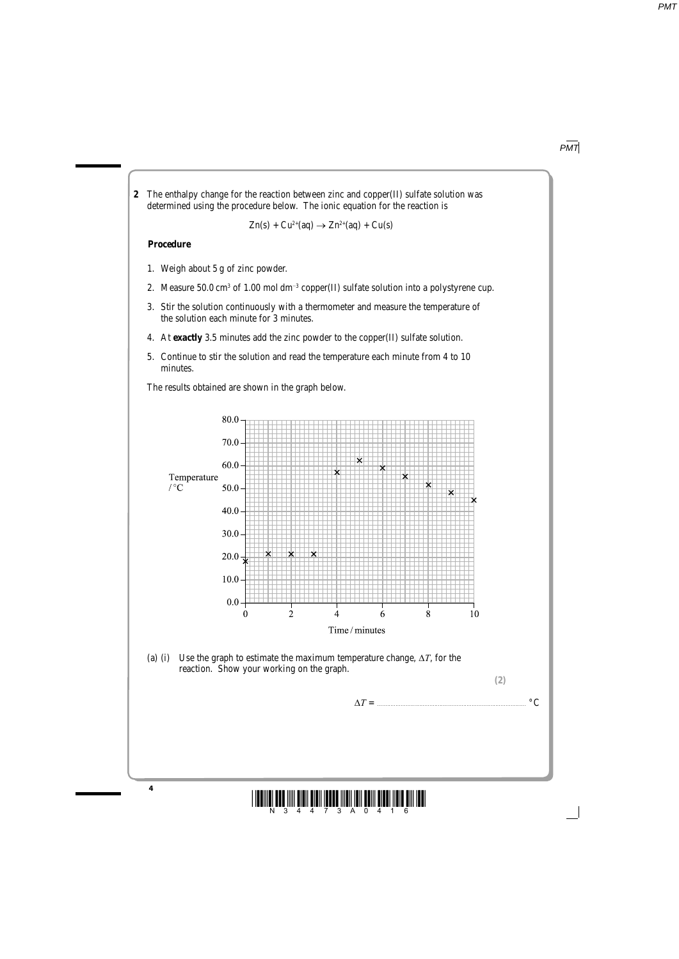*PMT*

**2** The enthalpy change for the reaction between zinc and copper(II) sulfate solution was determined using the procedure below. The ionic equation for the reaction is

 $Zn(s) + Cu^{2+}(aq) \rightarrow Zn^{2+}(aq) + Cu(s)$ 

#### **Procedure**

- 1. Weigh about 5 g of zinc powder.
- 2. Measure 50.0 cm<sup>3</sup> of 1.00 mol dm<sup>-3</sup> copper(II) sulfate solution into a polystyrene cup.
	- 3. Stir the solution continuously with a thermometer and measure the temperature of the solution each minute for 3 minutes.
	- 4. At **exactly** 3.5 minutes add the zinc powder to the copper(II) sulfate solution.
	- 5. Continue to stir the solution and read the temperature each minute from 4 to 10 minutes.

The results obtained are shown in the graph below.

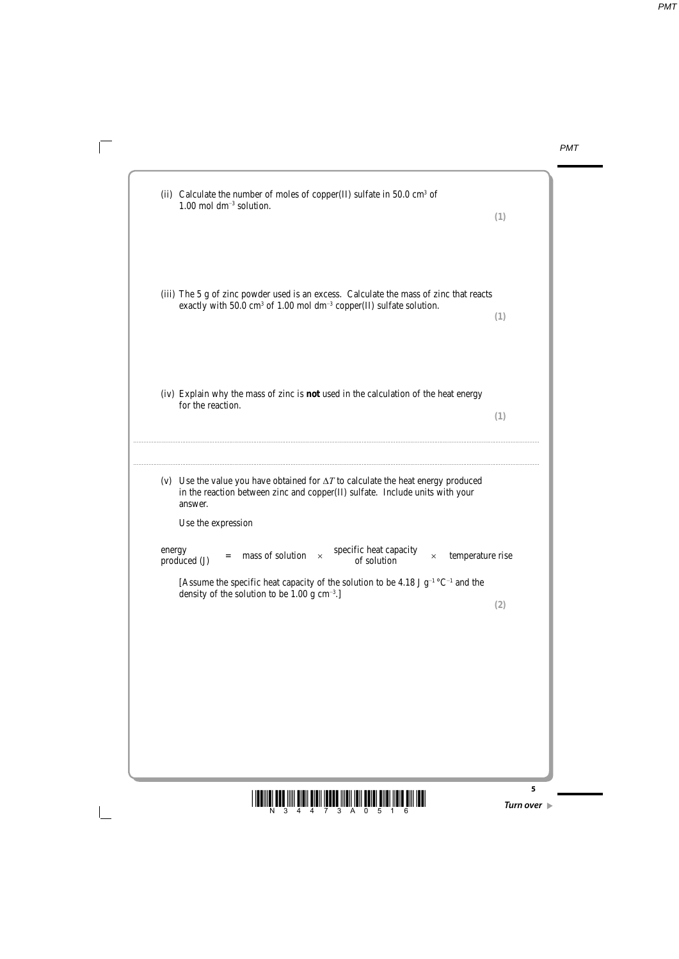|        | (ii) Calculate the number of moles of copper(II) sulfate in 50.0 cm <sup>3</sup> of<br>$1.00$ mol dm <sup>-3</sup> solution.                                                                              | (1) |
|--------|-----------------------------------------------------------------------------------------------------------------------------------------------------------------------------------------------------------|-----|
|        | (iii) The 5 g of zinc powder used is an excess. Calculate the mass of zinc that reacts<br>exactly with 50.0 cm <sup>3</sup> of 1.00 mol dm <sup>-3</sup> copper(II) sulfate solution.                     | (1) |
|        | (iv) Explain why the mass of zinc is <b>not</b> used in the calculation of the heat energy<br>for the reaction.                                                                                           | (1) |
|        | (v) Use the value you have obtained for $\Delta T$ to calculate the heat energy produced<br>in the reaction between zinc and copper(II) sulfate. Include units with your<br>answer.<br>Use the expression |     |
| energy | specific heat capacity<br>mass of solution<br>temperature rise<br>$\times$<br>$\times$<br>$\qquad \qquad =\qquad$<br>of solution<br>produced $(J)$                                                        |     |
|        | [Assume the specific heat capacity of the solution to be 4.18 J $g^{-1} {}^{\circ}C^{-1}$ and the<br>density of the solution to be $1.00 \text{ g cm}^{-3}$ .]                                            | (2) |
|        |                                                                                                                                                                                                           |     |
|        |                                                                                                                                                                                                           |     |

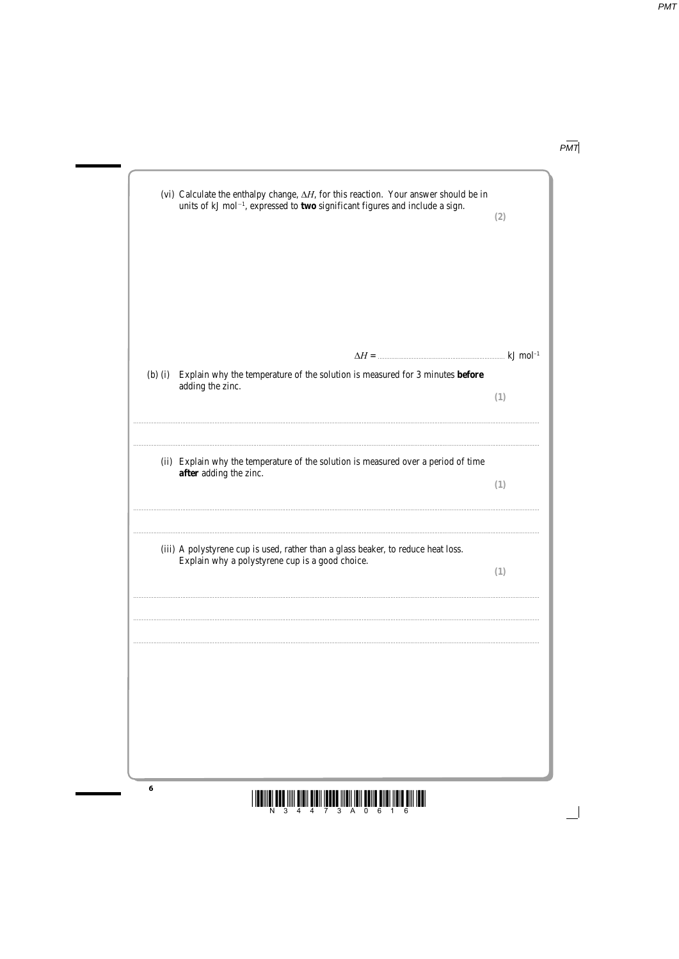| (vi) Calculate the enthalpy change, $\Delta H$ , for this reaction. Your answer should be in<br>units of kJ mol <sup>-1</sup> , expressed to <b>two</b> significant figures and include a sign. | (2) |
|-------------------------------------------------------------------------------------------------------------------------------------------------------------------------------------------------|-----|
| (b) (i) Explain why the temperature of the solution is measured for 3 minutes before<br>adding the zinc.                                                                                        | (1) |
| (ii) Explain why the temperature of the solution is measured over a period of time<br>after adding the zinc.                                                                                    | (1) |
| (iii) A polystyrene cup is used, rather than a glass beaker, to reduce heat loss.<br>Explain why a polystyrene cup is a good choice.                                                            | (1) |
|                                                                                                                                                                                                 |     |
|                                                                                                                                                                                                 |     |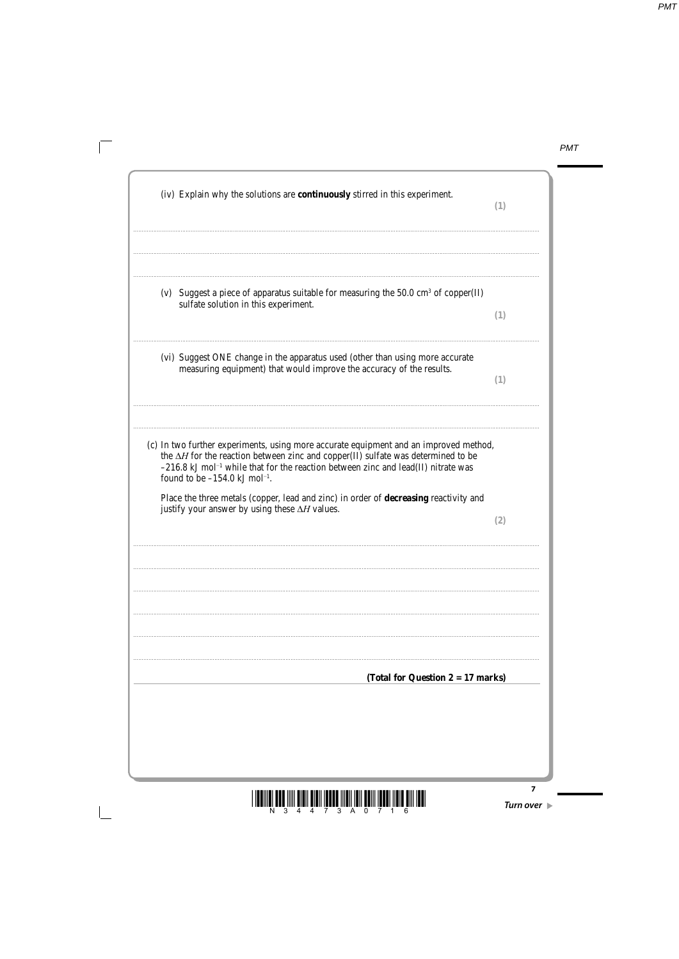| (iv) Explain why the solutions are <b>continuously</b> stirred in this experiment.                                                                                                                                                                                                                                                  | (1) |
|-------------------------------------------------------------------------------------------------------------------------------------------------------------------------------------------------------------------------------------------------------------------------------------------------------------------------------------|-----|
| (v) Suggest a piece of apparatus suitable for measuring the $50.0 \text{ cm}^3$ of copper(II)<br>sulfate solution in this experiment.                                                                                                                                                                                               | (1) |
| (vi) Suggest ONE change in the apparatus used (other than using more accurate<br>measuring equipment) that would improve the accuracy of the results.                                                                                                                                                                               | (1) |
| (c) In two further experiments, using more accurate equipment and an improved method,<br>the $\Delta H$ for the reaction between zinc and copper(II) sulfate was determined to be<br>$-216.8$ kJ mol <sup>-1</sup> while that for the reaction between zinc and lead(II) nitrate was<br>found to be $-154.0$ kJ mol <sup>-1</sup> . |     |
| Place the three metals (copper, lead and zinc) in order of decreasing reactivity and<br>justify your answer by using these $\Delta H$ values.                                                                                                                                                                                       |     |
|                                                                                                                                                                                                                                                                                                                                     | (2) |
| (Total for Question $2 = 17$ marks)                                                                                                                                                                                                                                                                                                 |     |
|                                                                                                                                                                                                                                                                                                                                     |     |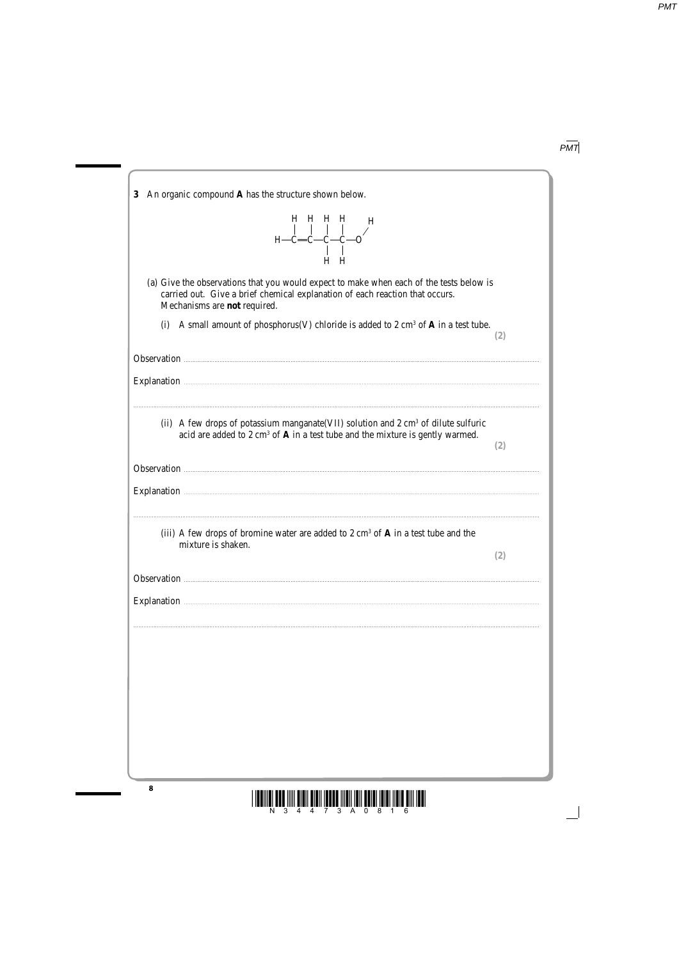| An organic compound A has the structure shown below.<br>3                                                                                                                                                                            |     |
|--------------------------------------------------------------------------------------------------------------------------------------------------------------------------------------------------------------------------------------|-----|
| $\begin{array}{c c c c} & H & H & H & H \\ &   &   &   &   \\ H & -C = C - C - C - C - O \\ &   &   & \end{array}$<br>H<br>$H$ $H$                                                                                                   |     |
| (a) Give the observations that you would expect to make when each of the tests below is<br>carried out. Give a brief chemical explanation of each reaction that occurs.<br>Mechanisms are not required.                              |     |
| A small amount of phosphorus(V) chloride is added to $2 \text{ cm}^3$ of <b>A</b> in a test tube.<br>(i)                                                                                                                             | (2) |
|                                                                                                                                                                                                                                      |     |
|                                                                                                                                                                                                                                      |     |
| (ii) A few drops of potassium manganate (VII) solution and $2 \text{ cm}^3$ of dilute sulfuric<br>acid are added to $2 \text{ cm}^3$ of $\textbf{A}$ in a test tube and the mixture is gently warmed.                                | (2) |
| Observation <b>manual contract of the contract of the contract of the contract of the contract of the contract of the contract of the contract of the contract of the contract of the contract of the contract of the contract o</b> |     |
|                                                                                                                                                                                                                                      |     |
|                                                                                                                                                                                                                                      |     |
| (iii) A few drops of bromine water are added to $2 \text{ cm}^3$ of $\textbf{A}$ in a test tube and the<br>mixture is shaken.                                                                                                        | (2) |
|                                                                                                                                                                                                                                      |     |
| Explanation <b>Explanation Explanation Explanation Explanation Explanation Explanation</b>                                                                                                                                           |     |
|                                                                                                                                                                                                                                      |     |
|                                                                                                                                                                                                                                      |     |
|                                                                                                                                                                                                                                      |     |
|                                                                                                                                                                                                                                      |     |
|                                                                                                                                                                                                                                      |     |
| 8<br>HE IIIII EIEII BILIII IBBEETIIBII IBII BEIBI IBIBI IIBIB EIII IBBI                                                                                                                                                              |     |

 $PMT$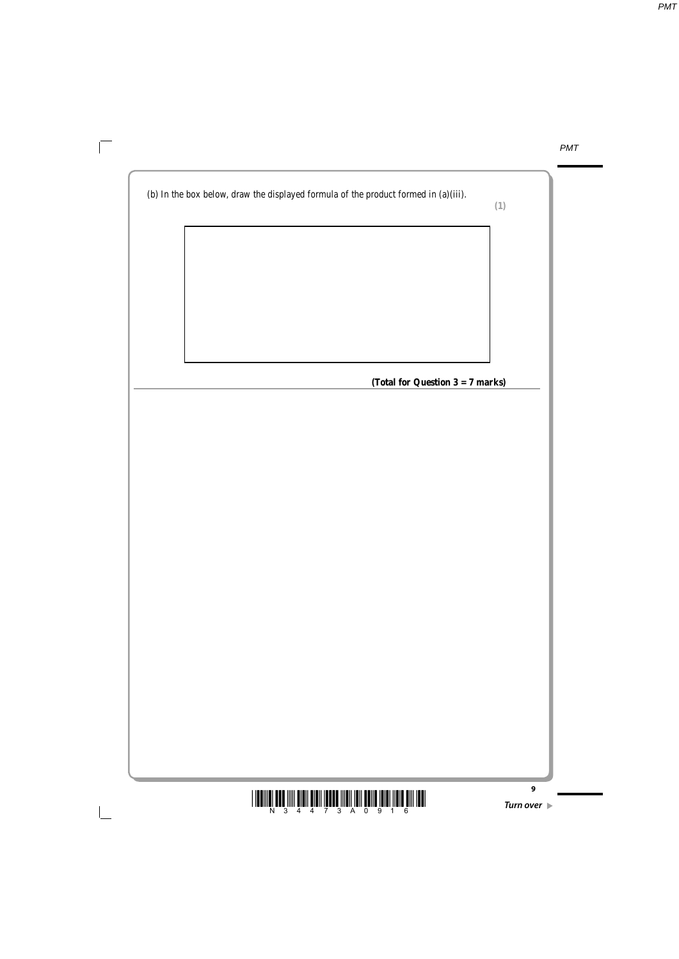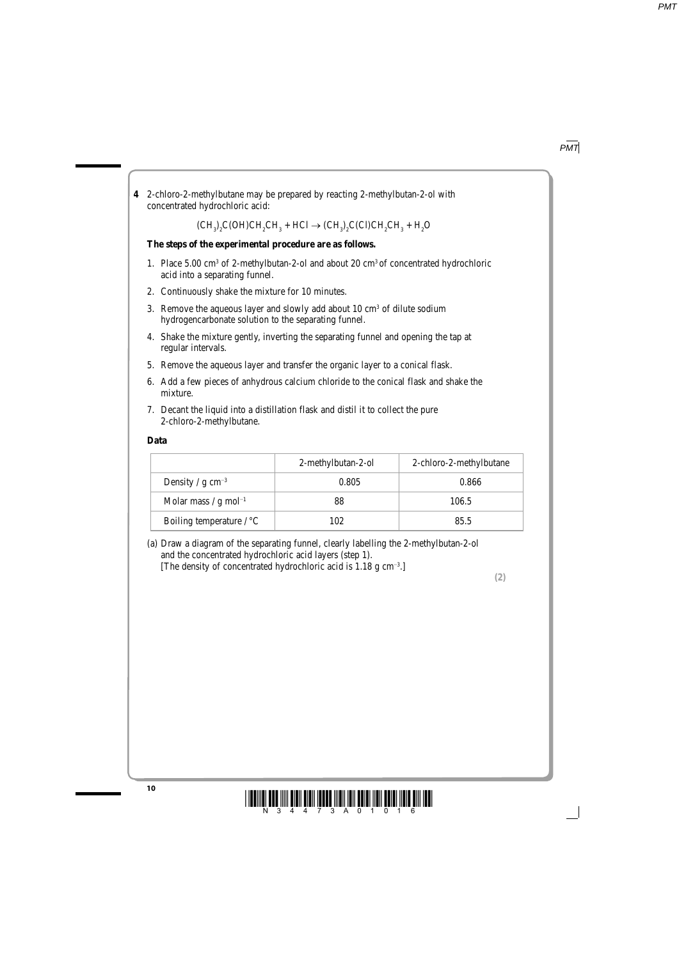**4** 2-chloro-2-methylbutane may be prepared by reacting 2-methylbutan-2-ol with concentrated hydrochloric acid:

 $(CH_3)_2C(OH)CH_2CH_3 + HCl \rightarrow (CH_3)_2C(Cl)CH_2CH_3 + H_2O$ 

### **The steps of the experimental procedure are as follows.**

- 1. Place  $5.00 \text{ cm}^3$  of 2-methylbutan-2-ol and about 20 cm<sup>3</sup> of concentrated hydrochloric acid into a separating funnel.
	- 2. Continuously shake the mixture for 10 minutes.
- 3. Remove the aqueous layer and slowly add about  $10 \text{ cm}^3$  of dilute sodium hydrogencarbonate solution to the separating funnel.
	- 4. Shake the mixture gently, inverting the separating funnel and opening the tap at regular intervals.
	- 5. Remove the aqueous layer and transfer the organic layer to a conical flask.
	- 6. Add a few pieces of anhydrous calcium chloride to the conical flask and shake the mixture.
	- 7. Decant the liquid into a distillation flask and distil it to collect the pure 2-chloro-2-methylbutane.

### **Data**

|                                    | 2-methylbutan-2-ol | 2-chloro-2-methylbutane |
|------------------------------------|--------------------|-------------------------|
| Density / $g \text{ cm}^{-3}$      | 0.805              | 0.866                   |
| Molar mass / $g$ mol <sup>-1</sup> | 88                 | 106.5                   |
| Boiling temperature $\sqrt{\ }$ °C | 102                | 85.5                    |

 (a) Draw a diagram of the separating funnel, clearly labelling the 2-methylbutan-2-ol and the concentrated hydrochloric acid layers (step 1). [The density of concentrated hydrochloric acid is 1.18 g cm<sup>−</sup><sup>3</sup> .]

**(2)**

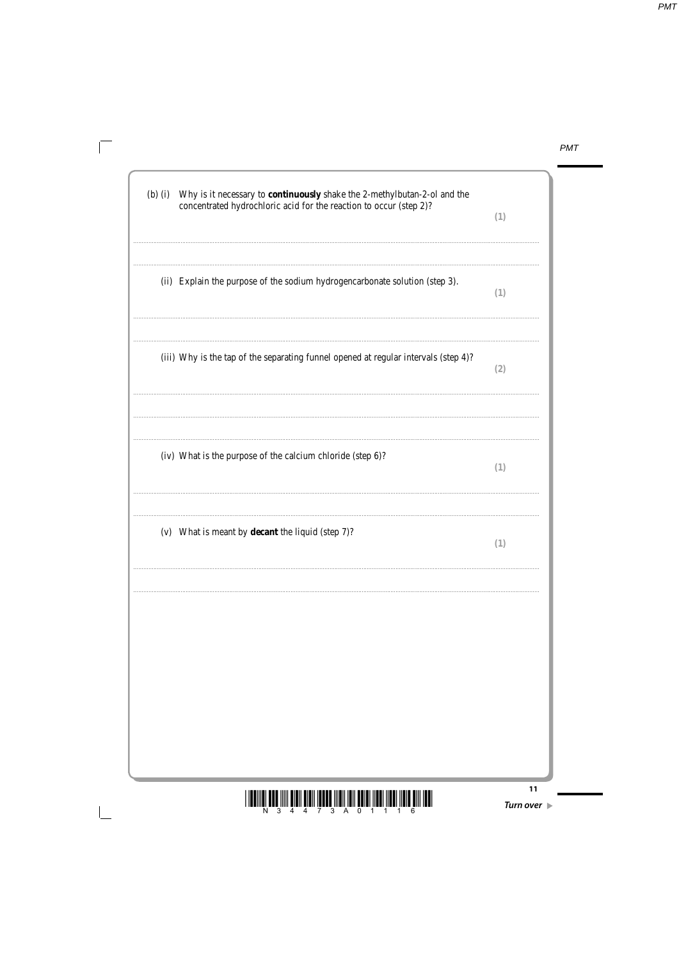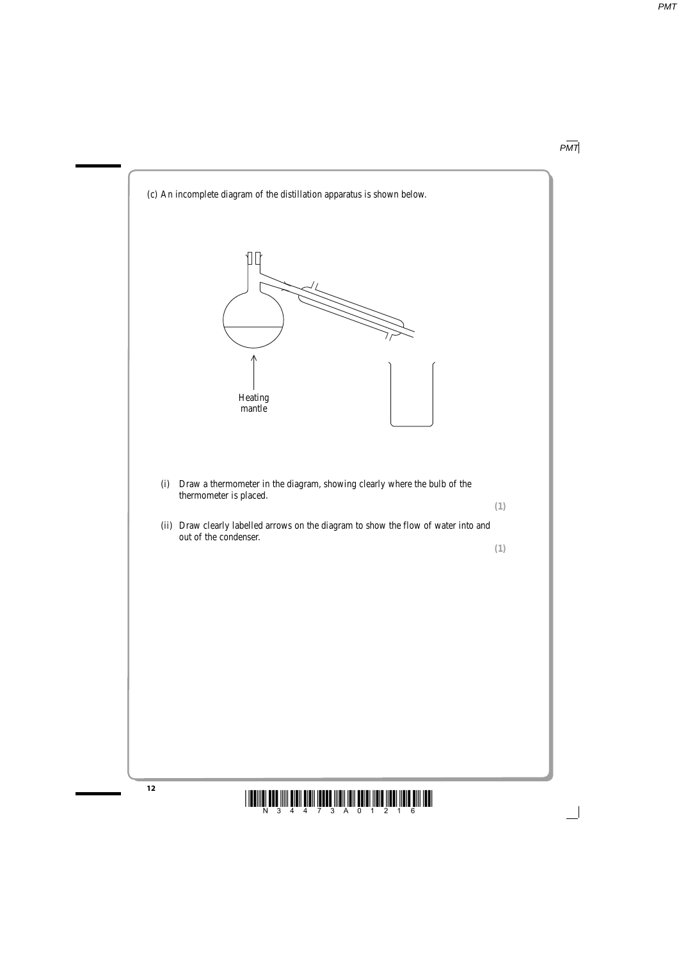

 (ii) Draw clearly labelled arrows on the diagram to show the flow of water into and out of the condenser.

**(1)**

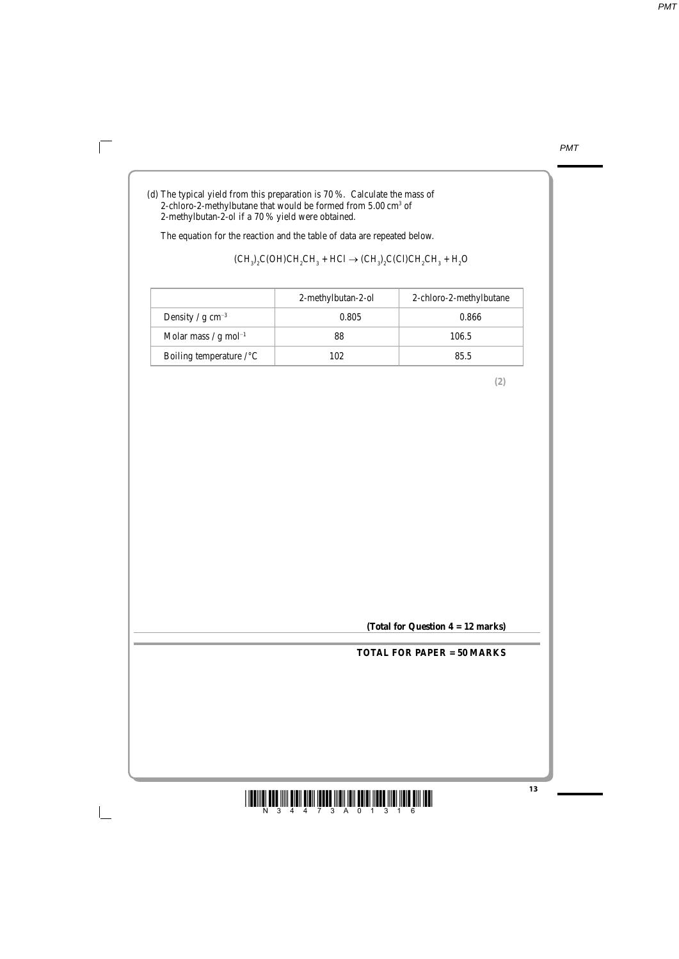(d) The typical yield from this preparation is 70 %. Calculate the mass of 2-chloro-2-methylbutane that would be formed from 5.00 cm<sup>3</sup> of 2-methylbutan-2-ol if a 70 % yield were obtained.

The equation for the reaction and the table of data are repeated below.

$$
(\text{CH}_3)_2\text{C}(\text{OH})\text{CH}_2\text{CH}_3 + \text{HCl} \rightarrow (\text{CH}_3)_2\text{C}(\text{Cl})\text{CH}_2\text{CH}_3 + \text{H}_2\text{O}
$$

|                                     | 2-methylbutan-2-ol | 2-chloro-2-methylbutane |
|-------------------------------------|--------------------|-------------------------|
| Density / $g \text{ cm}^{-3}$       | 0.805              | 0.866                   |
| Molar mass / $g$ mol <sup>-1</sup>  | 88                 | 106.5                   |
| Boiling temperature $\textdegree$ C | 102                | 85.5                    |

**(2)**

**(Total for Question 4 = 12 marks)**

# **TOTAL FOR PAPER = 50 MARKS**

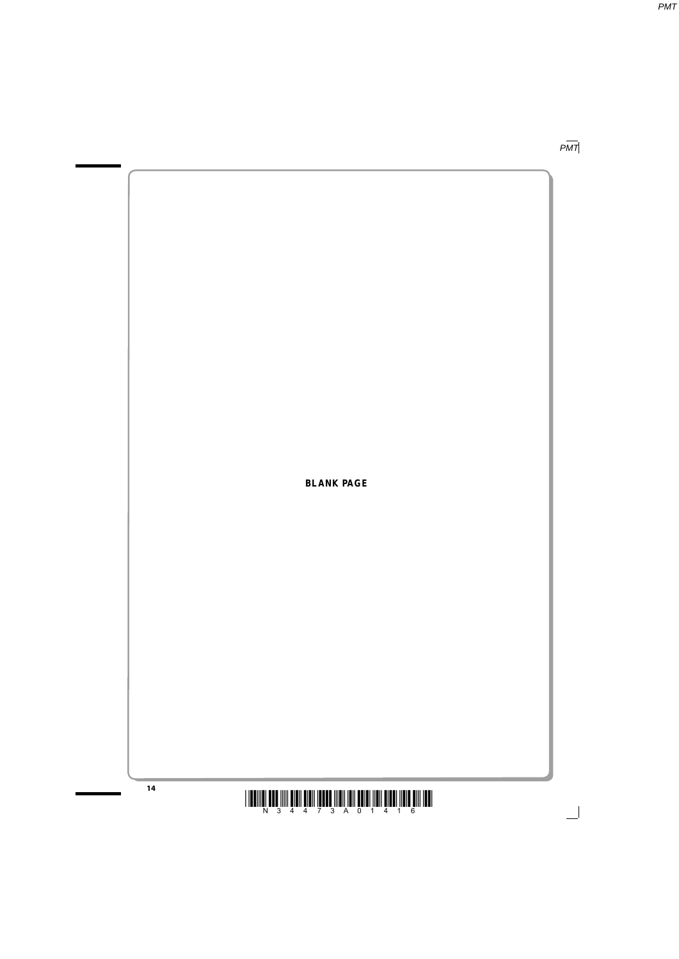**BLANK PAGE** 

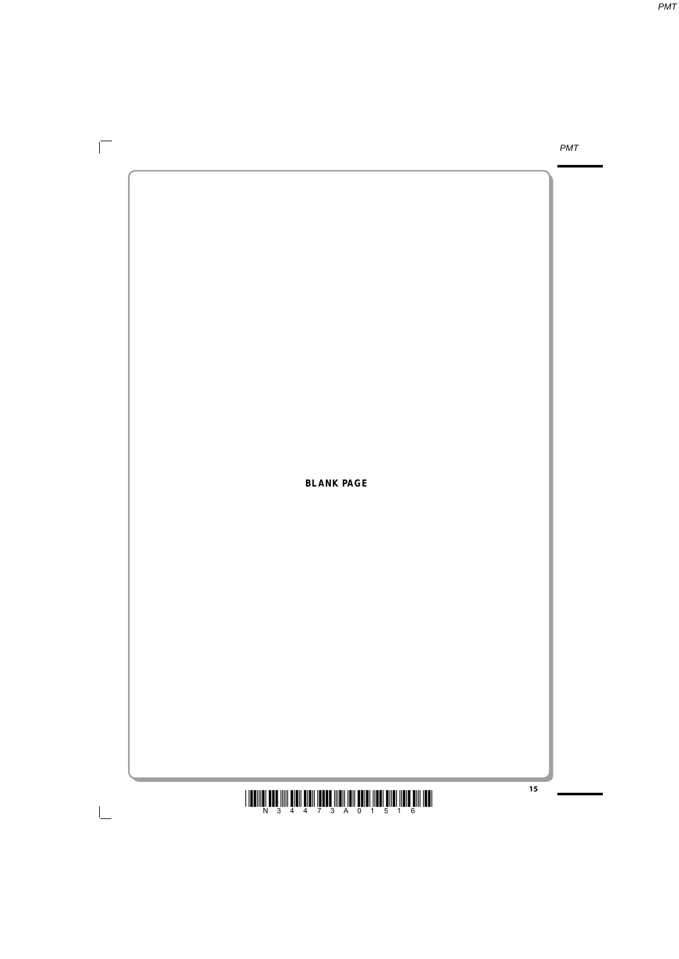**BLANK PAGE**